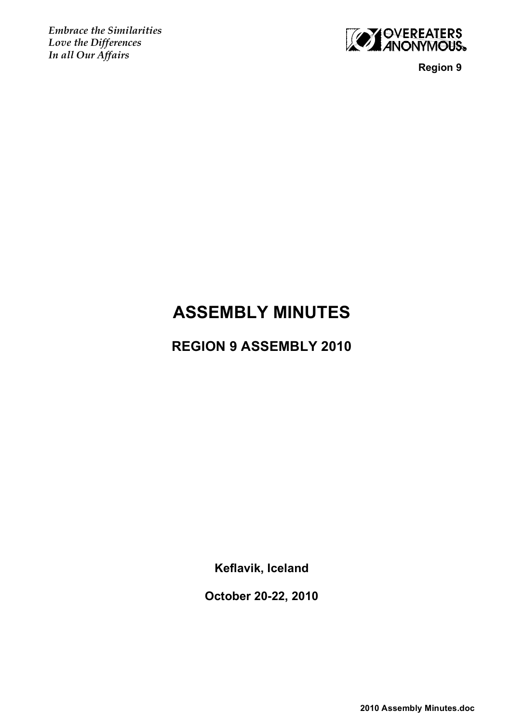*Embrace the Similarities Love the Differences In all Our Affairs*



 **Region 9**

# **ASSEMBLY MINUTES**

# **REGION 9 ASSEMBLY 2010**

**Keflavik, Iceland**

**October 20-22, 2010**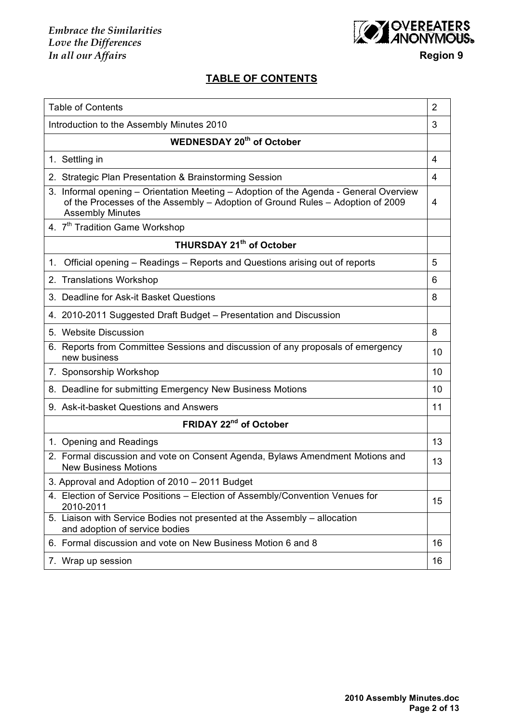*Embrace the Similarities Love the Differences In all our Affairs* **Region 9**



# **TABLE OF CONTENTS**

| <b>Table of Contents</b>                                                                                                                                                                           | 2  |
|----------------------------------------------------------------------------------------------------------------------------------------------------------------------------------------------------|----|
| Introduction to the Assembly Minutes 2010                                                                                                                                                          | 3  |
| <b>WEDNESDAY 20th of October</b>                                                                                                                                                                   |    |
| 1. Settling in                                                                                                                                                                                     | 4  |
| 2. Strategic Plan Presentation & Brainstorming Session                                                                                                                                             | 4  |
| 3. Informal opening - Orientation Meeting - Adoption of the Agenda - General Overview<br>of the Processes of the Assembly - Adoption of Ground Rules - Adoption of 2009<br><b>Assembly Minutes</b> | 4  |
| 4. 7 <sup>th</sup> Tradition Game Workshop                                                                                                                                                         |    |
| THURSDAY 21 <sup>th</sup> of October                                                                                                                                                               |    |
| Official opening – Readings – Reports and Questions arising out of reports<br>$1_{\cdot}$                                                                                                          | 5  |
| 2. Translations Workshop                                                                                                                                                                           | 6  |
| 3. Deadline for Ask-it Basket Questions                                                                                                                                                            | 8  |
| 4. 2010-2011 Suggested Draft Budget - Presentation and Discussion                                                                                                                                  |    |
| 5. Website Discussion                                                                                                                                                                              | 8  |
| 6. Reports from Committee Sessions and discussion of any proposals of emergency<br>new business                                                                                                    | 10 |
| 7. Sponsorship Workshop                                                                                                                                                                            | 10 |
| 8. Deadline for submitting Emergency New Business Motions                                                                                                                                          | 10 |
| 9. Ask-it-basket Questions and Answers                                                                                                                                                             | 11 |
| FRIDAY 22 <sup>nd</sup> of October                                                                                                                                                                 |    |
| 1. Opening and Readings                                                                                                                                                                            | 13 |
| 2. Formal discussion and vote on Consent Agenda, Bylaws Amendment Motions and<br><b>New Business Motions</b>                                                                                       | 13 |
| 3. Approval and Adoption of 2010 - 2011 Budget                                                                                                                                                     |    |
| 4. Election of Service Positions - Election of Assembly/Convention Venues for<br>2010-2011                                                                                                         | 15 |
| 5. Liaison with Service Bodies not presented at the Assembly - allocation<br>and adoption of service bodies                                                                                        |    |
| 6. Formal discussion and vote on New Business Motion 6 and 8                                                                                                                                       | 16 |
| 7. Wrap up session                                                                                                                                                                                 | 16 |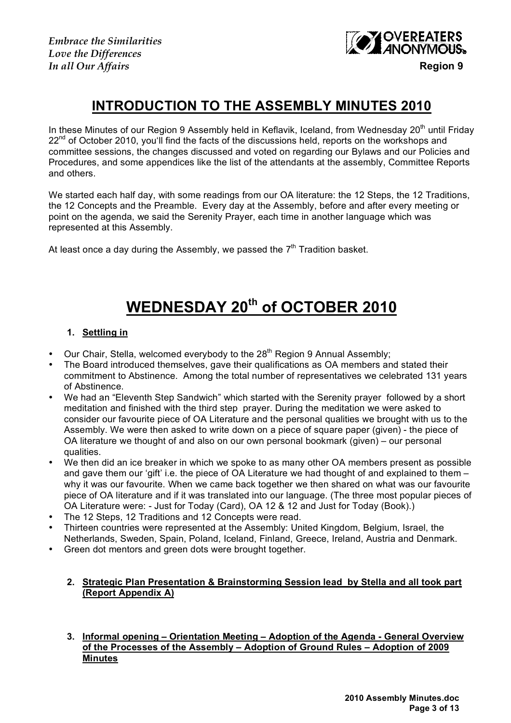*Embrace the Similarities Love the Differences*



# **INTRODUCTION TO THE ASSEMBLY MINUTES 2010**

In these Minutes of our Region 9 Assembly held in Keflavik, Iceland, from Wednesdav 20<sup>th</sup> until Fridav 22<sup>nd</sup> of October 2010, you'll find the facts of the discussions held, reports on the workshops and committee sessions, the changes discussed and voted on regarding our Bylaws and our Policies and Procedures, and some appendices like the list of the attendants at the assembly, Committee Reports and others.

We started each half day, with some readings from our OA literature: the 12 Steps, the 12 Traditions, the 12 Concepts and the Preamble. Every day at the Assembly, before and after every meeting or point on the agenda, we said the Serenity Prayer, each time in another language which was represented at this Assembly.

At least once a day during the Assembly, we passed the  $7<sup>th</sup>$  Tradition basket.

# **WEDNESDAY 20th of OCTOBER 2010**

# **1. Settling in**

- Our Chair, Stella, welcomed everybody to the 28<sup>th</sup> Region 9 Annual Assembly;
- The Board introduced themselves, gave their qualifications as OA members and stated their commitment to Abstinence. Among the total number of representatives we celebrated 131 years of Abstinence.
- We had an "Eleventh Step Sandwich" which started with the Serenity prayer followed by a short meditation and finished with the third step prayer. During the meditation we were asked to consider our favourite piece of OA Literature and the personal qualities we brought with us to the Assembly. We were then asked to write down on a piece of square paper (given) - the piece of OA literature we thought of and also on our own personal bookmark (given) – our personal qualities.
- We then did an ice breaker in which we spoke to as many other OA members present as possible and gave them our 'gift' i.e. the piece of OA Literature we had thought of and explained to them – why it was our favourite. When we came back together we then shared on what was our favourite piece of OA literature and if it was translated into our language. (The three most popular pieces of OA Literature were: - Just for Today (Card), OA 12 & 12 and Just for Today (Book).)
- The 12 Steps, 12 Traditions and 12 Concepts were read.
- Thirteen countries were represented at the Assembly: United Kingdom, Belgium, Israel, the Netherlands, Sweden, Spain, Poland, Iceland, Finland, Greece, Ireland, Austria and Denmark.
- Green dot mentors and green dots were brought together.

# **2. Strategic Plan Presentation & Brainstorming Session lead by Stella and all took part (Report Appendix A)**

**3. Informal opening – Orientation Meeting – Adoption of the Agenda - General Overview of the Processes of the Assembly – Adoption of Ground Rules – Adoption of 2009 Minutes**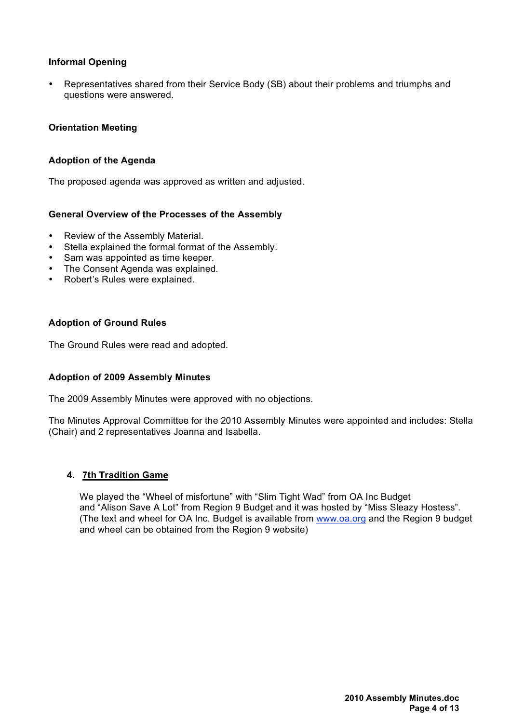# **Informal Opening**

• Representatives shared from their Service Body (SB) about their problems and triumphs and questions were answered.

#### **Orientation Meeting**

#### **Adoption of the Agenda**

The proposed agenda was approved as written and adjusted.

#### **General Overview of the Processes of the Assembly**

- Review of the Assembly Material.
- Stella explained the formal format of the Assembly.
- Sam was appointed as time keeper.
- The Consent Agenda was explained.
- Robert's Rules were explained.

#### **Adoption of Ground Rules**

The Ground Rules were read and adopted.

#### **Adoption of 2009 Assembly Minutes**

The 2009 Assembly Minutes were approved with no objections.

The Minutes Approval Committee for the 2010 Assembly Minutes were appointed and includes: Stella (Chair) and 2 representatives Joanna and Isabella.

#### **4. 7th Tradition Game**

We played the "Wheel of misfortune" with "Slim Tight Wad" from OA Inc Budget and "Alison Save A Lot" from Region 9 Budget and it was hosted by "Miss Sleazy Hostess". (The text and wheel for OA Inc. Budget is available from www.oa.org and the Region 9 budget and wheel can be obtained from the Region 9 website)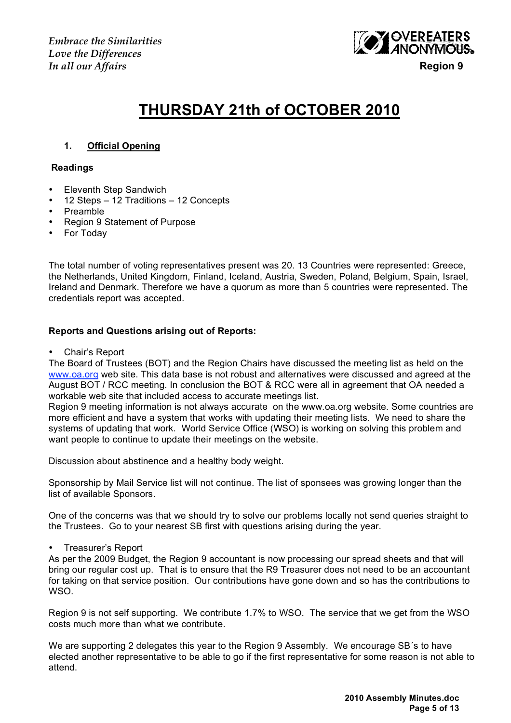*Embrace the Similarities Love the Differences In all our Affairs* **Region 9**



# **THURSDAY 21th of OCTOBER 2010**

# **1. Official Opening**

#### **Readings**

- Eleventh Step Sandwich
- 12 Steps 12 Traditions 12 Concepts
- Preamble
- Region 9 Statement of Purpose
- For Today

The total number of voting representatives present was 20. 13 Countries were represented: Greece, the Netherlands, United Kingdom, Finland, Iceland, Austria, Sweden, Poland, Belgium, Spain, Israel, Ireland and Denmark. Therefore we have a quorum as more than 5 countries were represented. The credentials report was accepted.

#### **Reports and Questions arising out of Reports:**

• Chair's Report

The Board of Trustees (BOT) and the Region Chairs have discussed the meeting list as held on the www.oa.org web site. This data base is not robust and alternatives were discussed and agreed at the August BOT / RCC meeting. In conclusion the BOT & RCC were all in agreement that OA needed a workable web site that included access to accurate meetings list.

Region 9 meeting information is not always accurate on the www.oa.org website. Some countries are more efficient and have a system that works with updating their meeting lists. We need to share the systems of updating that work. World Service Office (WSO) is working on solving this problem and want people to continue to update their meetings on the website.

Discussion about abstinence and a healthy body weight.

Sponsorship by Mail Service list will not continue. The list of sponsees was growing longer than the list of available Sponsors.

One of the concerns was that we should try to solve our problems locally not send queries straight to the Trustees. Go to your nearest SB first with questions arising during the year.

• Treasurer's Report

As per the 2009 Budget, the Region 9 accountant is now processing our spread sheets and that will bring our regular cost up. That is to ensure that the R9 Treasurer does not need to be an accountant for taking on that service position. Our contributions have gone down and so has the contributions to WSO.

Region 9 is not self supporting. We contribute 1.7% to WSO. The service that we get from the WSO costs much more than what we contribute.

We are supporting 2 delegates this year to the Region 9 Assembly. We encourage SB's to have elected another representative to be able to go if the first representative for some reason is not able to attend.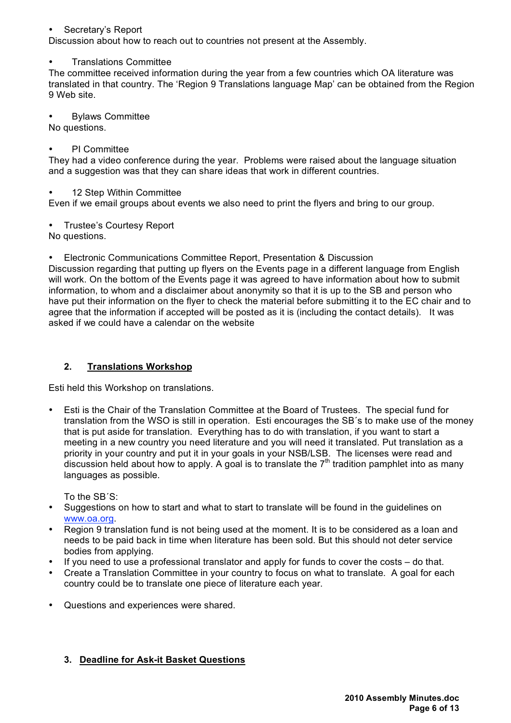# • Secretary's Report

Discussion about how to reach out to countries not present at the Assembly.

#### • Translations Committee

The committee received information during the year from a few countries which OA literature was translated in that country. The 'Region 9 Translations language Map' can be obtained from the Region 9 Web site.

• Bylaws Committee

No questions.

#### **PI** Committee

They had a video conference during the year. Problems were raised about the language situation and a suggestion was that they can share ideas that work in different countries.

#### 12 Step Within Committee

Even if we email groups about events we also need to print the flyers and bring to our group.

• Trustee's Courtesy Report

No questions.

• Electronic Communications Committee Report, Presentation & Discussion

Discussion regarding that putting up flyers on the Events page in a different language from English will work. On the bottom of the Events page it was agreed to have information about how to submit information, to whom and a disclaimer about anonymity so that it is up to the SB and person who have put their information on the flyer to check the material before submitting it to the EC chair and to agree that the information if accepted will be posted as it is (including the contact details). It was asked if we could have a calendar on the website

# **2. Translations Workshop**

Esti held this Workshop on translations.

• Esti is the Chair of the Translation Committee at the Board of Trustees. The special fund for translation from the WSO is still in operation. Esti encourages the SB´s to make use of the money that is put aside for translation. Everything has to do with translation, if you want to start a meeting in a new country you need literature and you will need it translated. Put translation as a priority in your country and put it in your goals in your NSB/LSB. The licenses were read and discussion held about how to apply. A goal is to translate the  $7<sup>th</sup>$  tradition pamphlet into as many languages as possible.

To the SB´S:

- Suggestions on how to start and what to start to translate will be found in the guidelines on www.oa.org.
- Region 9 translation fund is not being used at the moment. It is to be considered as a loan and needs to be paid back in time when literature has been sold. But this should not deter service bodies from applying.
- If you need to use a professional translator and apply for funds to cover the costs do that.
- Create a Translation Committee in your country to focus on what to translate. A goal for each country could be to translate one piece of literature each year.
- Questions and experiences were shared.

# **3. Deadline for Ask-it Basket Questions**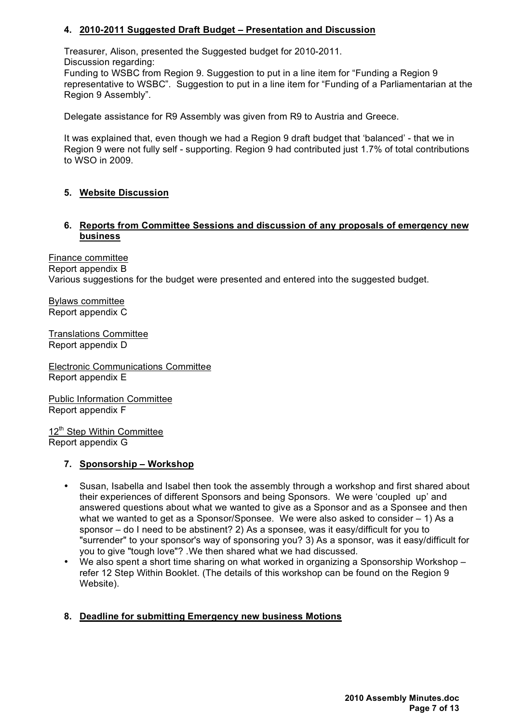# **4. 2010-2011 Suggested Draft Budget – Presentation and Discussion**

Treasurer, Alison, presented the Suggested budget for 2010-2011.

Discussion regarding:

Funding to WSBC from Region 9. Suggestion to put in a line item for "Funding a Region 9 representative to WSBC". Suggestion to put in a line item for "Funding of a Parliamentarian at the Region 9 Assembly".

Delegate assistance for R9 Assembly was given from R9 to Austria and Greece.

It was explained that, even though we had a Region 9 draft budget that 'balanced' - that we in Region 9 were not fully self - supporting. Region 9 had contributed just 1.7% of total contributions to WSO in 2009.

# **5. Website Discussion**

# **6. Reports from Committee Sessions and discussion of any proposals of emergency new business**

Finance committee Report appendix B Various suggestions for the budget were presented and entered into the suggested budget.

Bylaws committee Report appendix C

Translations Committee Report appendix D

Electronic Communications Committee Report appendix E

Public Information Committee Report appendix F

12<sup>th</sup> Step Within Committee Report appendix G

# **7. Sponsorship – Workshop**

- Susan, Isabella and Isabel then took the assembly through a workshop and first shared about their experiences of different Sponsors and being Sponsors. We were 'coupled up' and answered questions about what we wanted to give as a Sponsor and as a Sponsee and then what we wanted to get as a Sponsor/Sponsee. We were also asked to consider – 1) As a sponsor – do I need to be abstinent? 2) As a sponsee, was it easy/difficult for you to "surrender" to your sponsor's way of sponsoring you? 3) As a sponsor, was it easy/difficult for you to give "tough love"? .We then shared what we had discussed.
- We also spent a short time sharing on what worked in organizing a Sponsorship Workshop refer 12 Step Within Booklet. (The details of this workshop can be found on the Region 9 Website).

# **8. Deadline for submitting Emergency new business Motions**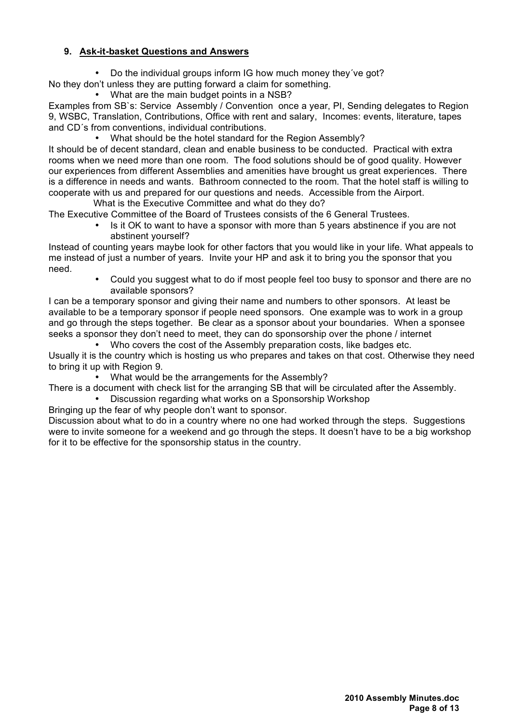# **9. Ask-it-basket Questions and Answers**

• Do the individual groups inform IG how much money they´ve got?

No they don't unless they are putting forward a claim for something.

• What are the main budget points in a NSB?

Examples from SB`s: Service Assembly / Convention once a year, PI, Sending delegates to Region 9, WSBC, Translation, Contributions, Office with rent and salary, Incomes: events, literature, tapes and CD´s from conventions, individual contributions.

• What should be the hotel standard for the Region Assembly?

It should be of decent standard, clean and enable business to be conducted. Practical with extra rooms when we need more than one room. The food solutions should be of good quality. However our experiences from different Assemblies and amenities have brought us great experiences. There is a difference in needs and wants. Bathroom connected to the room. That the hotel staff is willing to cooperate with us and prepared for our questions and needs. Accessible from the Airport.

 What is the Executive Committee and what do they do? The Executive Committee of the Board of Trustees consists of the 6 General Trustees.

- Is it OK to want to have a sponsor with more than 5 years abstinence if you are not
	- abstinent yourself?

Instead of counting years maybe look for other factors that you would like in your life. What appeals to me instead of just a number of years. Invite your HP and ask it to bring you the sponsor that you need.

• Could you suggest what to do if most people feel too busy to sponsor and there are no available sponsors?

I can be a temporary sponsor and giving their name and numbers to other sponsors. At least be available to be a temporary sponsor if people need sponsors. One example was to work in a group and go through the steps together. Be clear as a sponsor about your boundaries. When a sponsee seeks a sponsor they don't need to meet, they can do sponsorship over the phone / internet

• Who covers the cost of the Assembly preparation costs, like badges etc. Usually it is the country which is hosting us who prepares and takes on that cost. Otherwise they need to bring it up with Region 9.

What would be the arrangements for the Assembly?

There is a document with check list for the arranging SB that will be circulated after the Assembly.

• Discussion regarding what works on a Sponsorship Workshop

Bringing up the fear of why people don't want to sponsor.

Discussion about what to do in a country where no one had worked through the steps. Suggestions were to invite someone for a weekend and go through the steps. It doesn't have to be a big workshop for it to be effective for the sponsorship status in the country.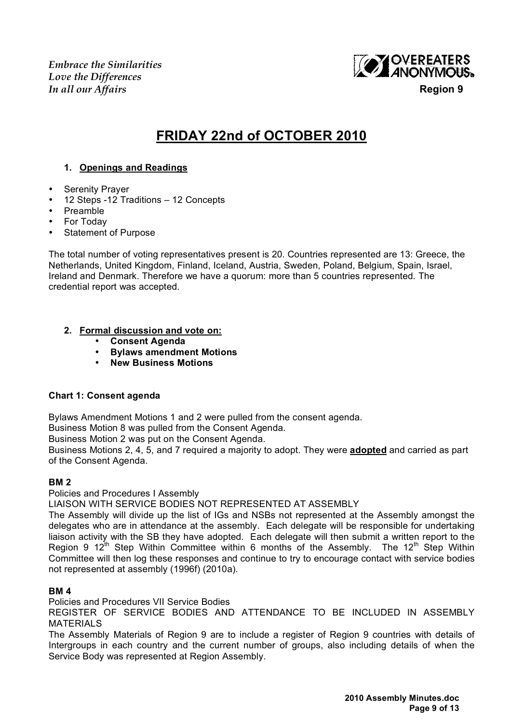*Embrace the Similarities Love the Differences In all our Affairs* **Region 9**



# **FRIDAY 22nd of OCTOBER 2010**

# **1. Openings and Readings**

- Serenity Prayer
- 12 Steps -12 Traditions 12 Concepts
- Preamble
- For Today
- Statement of Purpose

The total number of voting representatives present is 20. Countries represented are 13: Greece, the Netherlands, United Kingdom, Finland, Iceland, Austria, Sweden, Poland, Belgium, Spain, Israel, Ireland and Denmark. Therefore we have a quorum: more than 5 countries represented. The credential report was accepted.

# **2. Formal discussion and vote on:**

- **Consent Agenda**
- **Bylaws amendment Motions**
- **New Business Motions**

# **Chart 1: Consent agenda**

Bylaws Amendment Motions 1 and 2 were pulled from the consent agenda.

Business Motion 8 was pulled from the Consent Agenda.

Business Motion 2 was put on the Consent Agenda.

Business Motions 2, 4, 5, and 7 required a majority to adopt. They were **adopted** and carried as part of the Consent Agenda.

# **BM 2**

Policies and Procedures I Assembly

LIAISON WITH SERVICE BODIES NOT REPRESENTED AT ASSEMBLY

The Assembly will divide up the list of IGs and NSBs not represented at the Assembly amongst the delegates who are in attendance at the assembly. Each delegate will be responsible for undertaking liaison activity with the SB they have adopted. Each delegate will then submit a written report to the Region 9 12<sup>th</sup> Step Within Committee within 6 months of the Assembly. The 12<sup>th</sup> Step Within Committee will then log these responses and continue to try to encourage contact with service bodies not represented at assembly (1996f) (2010a).

# **BM 4**

Policies and Procedures VII Service Bodies

REGISTER OF SERVICE BODIES AND ATTENDANCE TO BE INCLUDED IN ASSEMBLY MATERIALS

The Assembly Materials of Region 9 are to include a register of Region 9 countries with details of Intergroups in each country and the current number of groups, also including details of when the Service Body was represented at Region Assembly.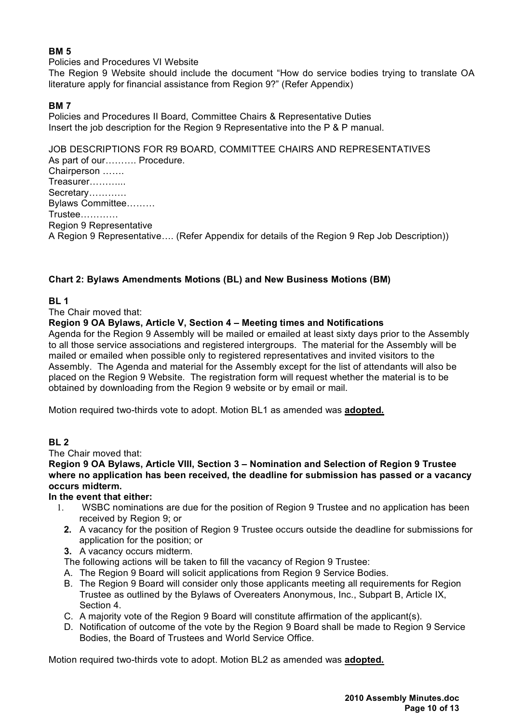# **BM 5**

#### Policies and Procedures VI Website

The Region 9 Website should include the document "How do service bodies trying to translate OA literature apply for financial assistance from Region 9?" (Refer Appendix)

# **BM 7**

Policies and Procedures II Board, Committee Chairs & Representative Duties Insert the job description for the Region 9 Representative into the P & P manual.

JOB DESCRIPTIONS FOR R9 BOARD, COMMITTEE CHAIRS AND REPRESENTATIVES As part of our………. Procedure. Chairperson ……. Treasurer………... Secretary………… Bylaws Committee……… Trustee………… Region 9 Representative A Region 9 Representative…. (Refer Appendix for details of the Region 9 Rep Job Description))

# **Chart 2: Bylaws Amendments Motions (BL) and New Business Motions (BM)**

# **BL 1**

The Chair moved that:

# **Region 9 OA Bylaws, Article V, Section 4 – Meeting times and Notifications**

Agenda for the Region 9 Assembly will be mailed or emailed at least sixty days prior to the Assembly to all those service associations and registered intergroups. The material for the Assembly will be mailed or emailed when possible only to registered representatives and invited visitors to the Assembly. The Agenda and material for the Assembly except for the list of attendants will also be placed on the Region 9 Website. The registration form will request whether the material is to be obtained by downloading from the Region 9 website or by email or mail.

Motion required two-thirds vote to adopt. Motion BL1 as amended was **adopted.**

# **BL 2**

The Chair moved that:

**Region 9 OA Bylaws, Article VIII, Section 3 – Nomination and Selection of Region 9 Trustee where no application has been received, the deadline for submission has passed or a vacancy occurs midterm.**

# **In the event that either:**

- 1. WSBC nominations are due for the position of Region 9 Trustee and no application has been received by Region 9; or
- **2.** A vacancy for the position of Region 9 Trustee occurs outside the deadline for submissions for application for the position; or
- **3.** A vacancy occurs midterm.

The following actions will be taken to fill the vacancy of Region 9 Trustee:

- A. The Region 9 Board will solicit applications from Region 9 Service Bodies.
- B. The Region 9 Board will consider only those applicants meeting all requirements for Region Trustee as outlined by the Bylaws of Overeaters Anonymous, Inc., Subpart B, Article IX, Section 4.
- C. A majority vote of the Region 9 Board will constitute affirmation of the applicant(s).
- D. Notification of outcome of the vote by the Region 9 Board shall be made to Region 9 Service Bodies, the Board of Trustees and World Service Office.

Motion required two-thirds vote to adopt. Motion BL2 as amended was **adopted.**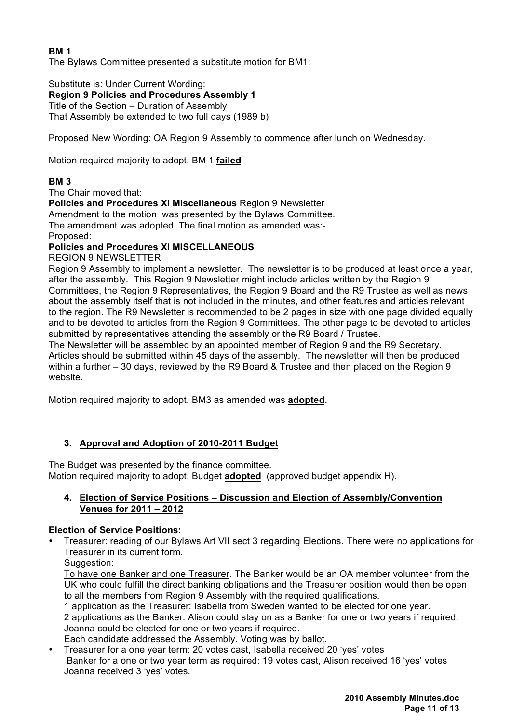# **BM 1**

The Bylaws Committee presented a substitute motion for BM1:

Substitute is: Under Current Wording: **Region 9 Policies and Procedures Assembly 1** Title of the Section – Duration of Assembly That Assembly be extended to two full days (1989 b)

Proposed New Wording: OA Region 9 Assembly to commence after lunch on Wednesday.

Motion required majority to adopt. BM 1 **failed** 

# **BM 3**

The Chair moved that:

**Policies and Procedures XI Miscellaneous** Region 9 Newsletter

Amendment to the motion was presented by the Bylaws Committee.

The amendment was adopted. The final motion as amended was:- Proposed:

# **Policies and Procedures XI MISCELLANEOUS**

REGION 9 NEWSLETTER

Region 9 Assembly to implement a newsletter. The newsletter is to be produced at least once a year, after the assembly. This Region 9 Newsletter might include articles written by the Region 9 Committees, the Region 9 Representatives, the Region 9 Board and the R9 Trustee as well as news about the assembly itself that is not included in the minutes, and other features and articles relevant to the region. The R9 Newsletter is recommended to be 2 pages in size with one page divided equally and to be devoted to articles from the Region 9 Committees. The other page to be devoted to articles submitted by representatives attending the assembly or the R9 Board / Trustee.

The Newsletter will be assembled by an appointed member of Region 9 and the R9 Secretary. Articles should be submitted within 45 days of the assembly. The newsletter will then be produced within a further – 30 days, reviewed by the R9 Board & Trustee and then placed on the Region 9 website.

Motion required majority to adopt. BM3 as amended was **adopted**.

# **3. Approval and Adoption of 2010-2011 Budget**

The Budget was presented by the finance committee.

Motion required majority to adopt. Budget **adopted** (approved budget appendix H).

# **4. Election of Service Positions – Discussion and Election of Assembly/Convention Venues for 2011 – 2012**

# **Election of Service Positions:**

• Treasurer: reading of our Bylaws Art VII sect 3 regarding Elections. There were no applications for Treasurer in its current form.

Suggestion:

To have one Banker and one Treasurer. The Banker would be an OA member volunteer from the UK who could fulfill the direct banking obligations and the Treasurer position would then be open to all the members from Region 9 Assembly with the required qualifications.

1 application as the Treasurer: Isabella from Sweden wanted to be elected for one year.

2 applications as the Banker: Alison could stay on as a Banker for one or two years if required. Joanna could be elected for one or two years if required.

Each candidate addressed the Assembly. Voting was by ballot.

• Treasurer for a one year term: 20 votes cast, Isabella received 20 'yes' votes Banker for a one or two year term as required: 19 votes cast, Alison received 16 'yes' votes Joanna received 3 'yes' votes.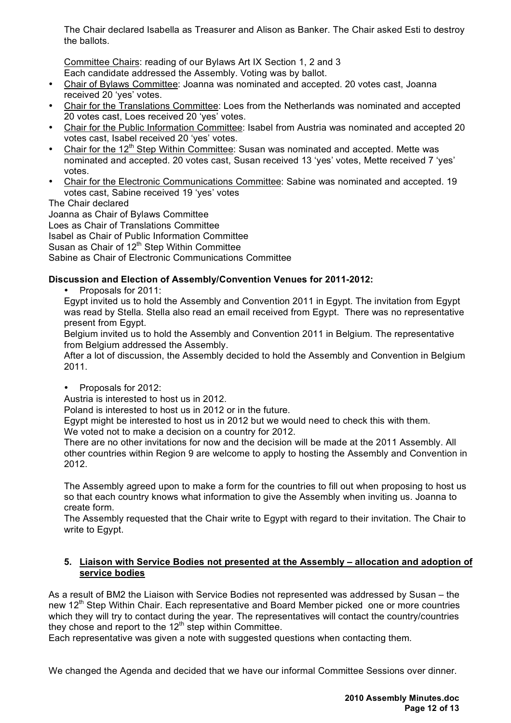The Chair declared Isabella as Treasurer and Alison as Banker. The Chair asked Esti to destroy the ballots.

Committee Chairs: reading of our Bylaws Art IX Section 1, 2 and 3

- Each candidate addressed the Assembly. Voting was by ballot.
- Chair of Bylaws Committee: Joanna was nominated and accepted. 20 votes cast, Joanna received 20 'yes' votes.
- Chair for the Translations Committee: Loes from the Netherlands was nominated and accepted 20 votes cast, Loes received 20 'yes' votes.
- Chair for the Public Information Committee: Isabel from Austria was nominated and accepted 20 votes cast, Isabel received 20 'yes' votes.
- Chair for the  $12<sup>th</sup>$  Step Within Committee: Susan was nominated and accepted. Mette was nominated and accepted. 20 votes cast, Susan received 13 'yes' votes, Mette received 7 'yes' votes.
- Chair for the Electronic Communications Committee: Sabine was nominated and accepted. 19 votes cast, Sabine received 19 'yes' votes

The Chair declared

Joanna as Chair of Bylaws Committee Loes as Chair of Translations Committee

Isabel as Chair of Public Information Committee

Susan as Chair of  $12<sup>th</sup>$  Step Within Committee

Sabine as Chair of Electronic Communications Committee

# **Discussion and Election of Assembly/Convention Venues for 2011-2012:**

• Proposals for 2011:

Egypt invited us to hold the Assembly and Convention 2011 in Egypt. The invitation from Egypt was read by Stella. Stella also read an email received from Egypt. There was no representative present from Egypt.

Belgium invited us to hold the Assembly and Convention 2011 in Belgium. The representative from Belgium addressed the Assembly.

After a lot of discussion, the Assembly decided to hold the Assembly and Convention in Belgium 2011.

# • Proposals for 2012:

Austria is interested to host us in 2012.

Poland is interested to host us in 2012 or in the future.

Egypt might be interested to host us in 2012 but we would need to check this with them. We voted not to make a decision on a country for 2012.

There are no other invitations for now and the decision will be made at the 2011 Assembly. All other countries within Region 9 are welcome to apply to hosting the Assembly and Convention in 2012.

The Assembly agreed upon to make a form for the countries to fill out when proposing to host us so that each country knows what information to give the Assembly when inviting us. Joanna to create form.

The Assembly requested that the Chair write to Egypt with regard to their invitation. The Chair to write to Egypt.

# **5. Liaison with Service Bodies not presented at the Assembly – allocation and adoption of service bodies**

As a result of BM2 the Liaison with Service Bodies not represented was addressed by Susan – the new 12<sup>th</sup> Step Within Chair. Each representative and Board Member picked one or more countries which they will try to contact during the year. The representatives will contact the country/countries they chose and report to the  $12<sup>th</sup>$  step within Committee.

Each representative was given a note with suggested questions when contacting them.

We changed the Agenda and decided that we have our informal Committee Sessions over dinner.